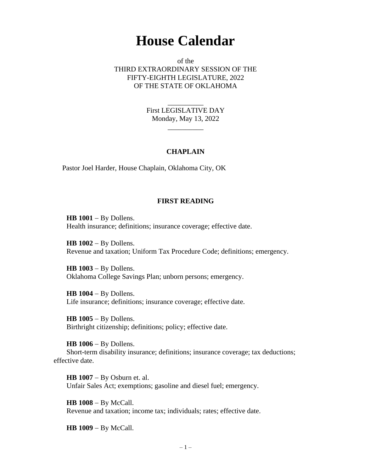# **House Calendar**

of the THIRD EXTRAORDINARY SESSION OF THE FIFTY-EIGHTH LEGISLATURE, 2022 OF THE STATE OF OKLAHOMA

> First LEGISLATIVE DAY Monday, May 13, 2022

> > $\overline{\phantom{a}}$

\_\_\_\_\_\_\_\_\_\_

## **CHAPLAIN**

Pastor Joel Harder, House Chaplain, Oklahoma City, OK

# **FIRST READING**

**HB 1001** − By Dollens. Health insurance; definitions; insurance coverage; effective date.

**HB 1002** − By Dollens. Revenue and taxation; Uniform Tax Procedure Code; definitions; emergency.

**HB 1003** − By Dollens. Oklahoma College Savings Plan; unborn persons; emergency.

**HB 1004** − By Dollens. Life insurance; definitions; insurance coverage; effective date.

**HB 1005** − By Dollens. Birthright citizenship; definitions; policy; effective date.

**HB 1006** − By Dollens. Short-term disability insurance; definitions; insurance coverage; tax deductions; effective date.

**HB 1007** − By Osburn et. al. Unfair Sales Act; exemptions; gasoline and diesel fuel; emergency.

**HB 1008** − By McCall. Revenue and taxation; income tax; individuals; rates; effective date.

**HB 1009** − By McCall.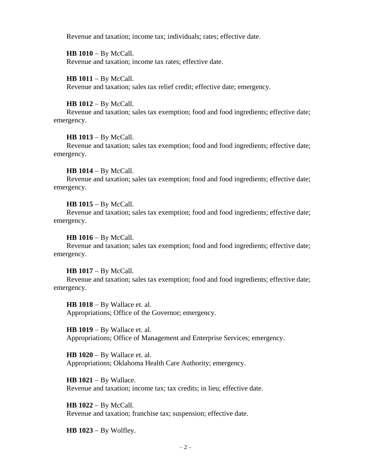Revenue and taxation; income tax; individuals; rates; effective date.

**HB 1010** − By McCall. Revenue and taxation; income tax rates; effective date.

**HB 1011** − By McCall. Revenue and taxation; sales tax relief credit; effective date; emergency.

## **HB 1012** − By McCall.

Revenue and taxation; sales tax exemption; food and food ingredients; effective date; emergency.

### **HB 1013** − By McCall.

Revenue and taxation; sales tax exemption; food and food ingredients; effective date; emergency.

#### **HB 1014** − By McCall.

Revenue and taxation; sales tax exemption; food and food ingredients; effective date; emergency.

#### **HB 1015** − By McCall.

Revenue and taxation; sales tax exemption; food and food ingredients; effective date; emergency.

#### **HB 1016** − By McCall.

Revenue and taxation; sales tax exemption; food and food ingredients; effective date; emergency.

#### **HB 1017** − By McCall.

Revenue and taxation; sales tax exemption; food and food ingredients; effective date; emergency.

**HB 1018** − By Wallace et. al. Appropriations; Office of the Governor; emergency.

**HB 1019** − By Wallace et. al. Appropriations; Office of Management and Enterprise Services; emergency.

**HB 1020** − By Wallace et. al. Appropriations; Oklahoma Health Care Authority; emergency.

**HB 1021** − By Wallace. Revenue and taxation; income tax; tax credits; in lieu; effective date.

**HB 1022** − By McCall. Revenue and taxation; franchise tax; suspension; effective date.

**HB 1023** − By Wolfley.